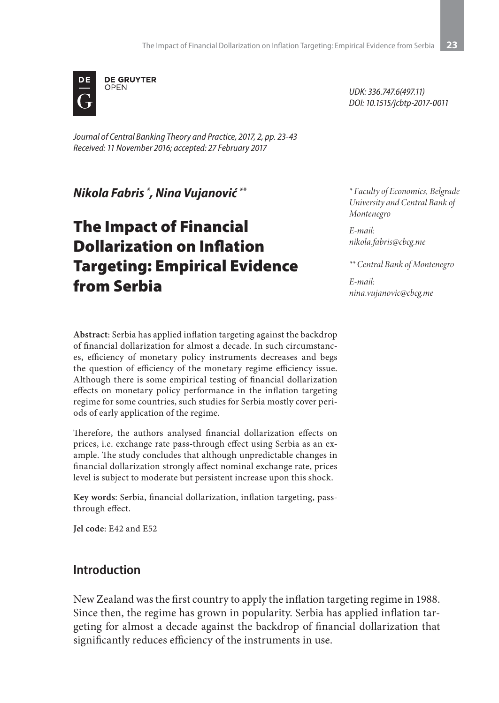

*Journal of Central Banking Theory and Practice, 2017, 2, pp. 23-43 Received: 11 November 2016; accepted: 27 February 2017*

*Nikola Fabris \* , Nina Vujanović \*\**

# The Impact of Financial Dollarization on Inflation Targeting: Empirical Evidence from Serbia

**Abstract**: Serbia has applied inflation targeting against the backdrop of financial dollarization for almost a decade. In such circumstances, efficiency of monetary policy instruments decreases and begs the question of efficiency of the monetary regime efficiency issue. Although there is some empirical testing of financial dollarization effects on monetary policy performance in the inflation targeting regime for some countries, such studies for Serbia mostly cover periods of early application of the regime.

Therefore, the authors analysed financial dollarization effects on prices, i.e. exchange rate pass-through effect using Serbia as an example. The study concludes that although unpredictable changes in financial dollarization strongly affect nominal exchange rate, prices level is subject to moderate but persistent increase upon this shock.

**Key words**: Serbia, financial dollarization, inflation targeting, passthrough effect.

**Jel code**: E42 and E52

# **Introduction**

New Zealand was the first country to apply the inflation targeting regime in 1988. Since then, the regime has grown in popularity. Serbia has applied inflation targeting for almost a decade against the backdrop of financial dollarization that significantly reduces efficiency of the instruments in use.

*UDK: 336.747.6(497.11) DOI: 10.1515/jcbtp-2017-0011*

*\* Faculty of Economics, Belgrade University and Central Bank of Montenegro*

*E-mail: nikola.fabris@cbcg.me*

*\*\* Central Bank of Montenegro*

*E-mail: nina.vujanovic@cbcg.me*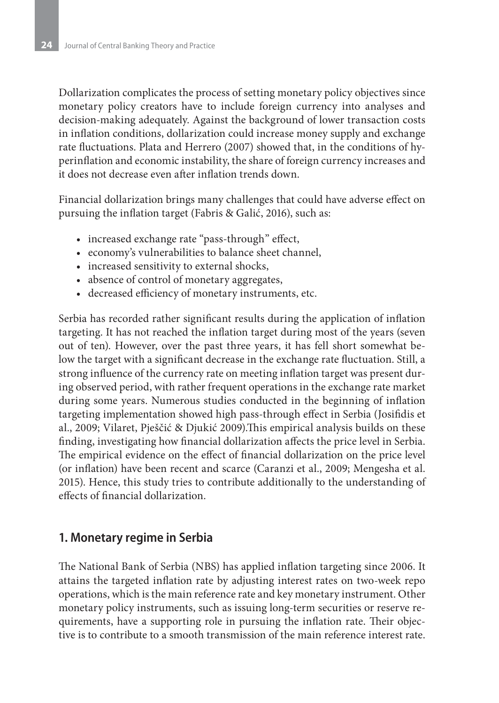Dollarization complicates the process of setting monetary policy objectives since monetary policy creators have to include foreign currency into analyses and decision-making adequately. Against the background of lower transaction costs in inflation conditions, dollarization could increase money supply and exchange rate fluctuations. Plata and Herrero (2007) showed that, in the conditions of hyperinflation and economic instability, the share of foreign currency increases and it does not decrease even after inflation trends down.

Financial dollarization brings many challenges that could have adverse effect on pursuing the inflation target (Fabris & Galić, 2016), such as:

- increased exchange rate "pass-through" effect,
- • economy's vulnerabilities to balance sheet channel,
- increased sensitivity to external shocks,
- • absence of control of monetary aggregates,
- • decreased efficiency of monetary instruments, etc.

Serbia has recorded rather significant results during the application of inflation targeting. It has not reached the inflation target during most of the years (seven out of ten). However, over the past three years, it has fell short somewhat below the target with a significant decrease in the exchange rate fluctuation. Still, a strong influence of the currency rate on meeting inflation target was present during observed period, with rather frequent operations in the exchange rate market during some years. Numerous studies conducted in the beginning of inflation targeting implementation showed high pass-through effect in Serbia (Josifidis et al., 2009; Vilaret, Pješčić & Djukić 2009).This empirical analysis builds on these finding, investigating how financial dollarization affects the price level in Serbia. The empirical evidence on the effect of financial dollarization on the price level (or inflation) have been recent and scarce (Caranzi et al., 2009; Mengesha et al. 2015). Hence, this study tries to contribute additionally to the understanding of effects of financial dollarization.

### **1. Monetary regime in Serbia**

The National Bank of Serbia (NBS) has applied inflation targeting since 2006. It attains the targeted inflation rate by adjusting interest rates on two-week repo operations, which is the main reference rate and key monetary instrument. Other monetary policy instruments, such as issuing long-term securities or reserve requirements, have a supporting role in pursuing the inflation rate. Their objective is to contribute to a smooth transmission of the main reference interest rate.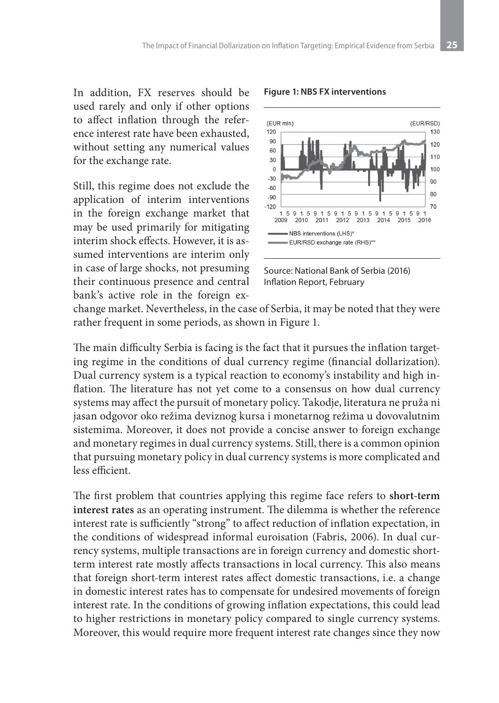**Figure 1: NBS FX interventions**

In addition, FX reserves should be used rarely and only if other options to affect inflation through the reference interest rate have been exhausted, without setting any numerical values for the exchange rate.

Still, this regime does not exclude the application of interim interventions in the foreign exchange market that may be used primarily for mitigating interim shock effects. However, it is assumed interventions are interim only in case of large shocks, not presuming their continuous presence and central bank's active role in the foreign ex-



Source: National Bank of Serbia (2016) Inflation Report, February

change market. Nevertheless, in the case of Serbia, it may be noted that they were rather frequent in some periods, as shown in Figure 1.

The main difficulty Serbia is facing is the fact that it pursues the inflation targeting regime in the conditions of dual currency regime (financial dollarization). Dual currency system is a typical reaction to economy's instability and high inflation. The literature has not yet come to a consensus on how dual currency systems may affect the pursuit of monetary policy. Takodje, literatura ne pruža ni jasan odgovor oko režima deviznog kursa i monetarnog režima u dovovalutnim sistemima. Moreover, it does not provide a concise answer to foreign exchange and monetary regimes in dual currency systems. Still, there is a common opinion that pursuing monetary policy in dual currency systems is more complicated and less efficient.

The first problem that countries applying this regime face refers to **short-term interest rates** as an operating instrument. The dilemma is whether the reference interest rate is sufficiently "strong" to affect reduction of inflation expectation, in the conditions of widespread informal euroisation (Fabris, 2006). In dual currency systems, multiple transactions are in foreign currency and domestic shortterm interest rate mostly affects transactions in local currency. This also means that foreign short-term interest rates affect domestic transactions, i.e. a change in domestic interest rates has to compensate for undesired movements of foreign interest rate. In the conditions of growing inflation expectations, this could lead to higher restrictions in monetary policy compared to single currency systems. Moreover, this would require more frequent interest rate changes since they now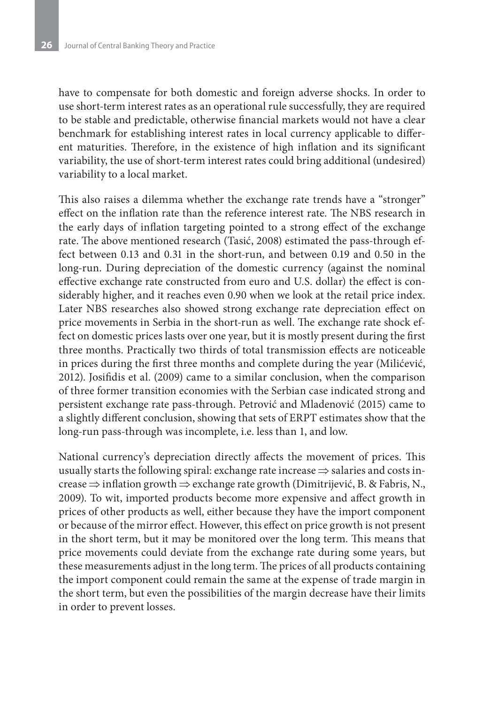have to compensate for both domestic and foreign adverse shocks. In order to use short-term interest rates as an operational rule successfully, they are required to be stable and predictable, otherwise financial markets would not have a clear benchmark for establishing interest rates in local currency applicable to different maturities. Therefore, in the existence of high inflation and its significant variability, the use of short-term interest rates could bring additional (undesired) variability to a local market.

This also raises a dilemma whether the exchange rate trends have a "stronger" effect on the inflation rate than the reference interest rate. The NBS research in the early days of inflation targeting pointed to a strong effect of the exchange rate. The above mentioned research (Tasić, 2008) estimated the pass-through effect between 0.13 and 0.31 in the short-run, and between 0.19 and 0.50 in the long-run. During depreciation of the domestic currency (against the nominal effective exchange rate constructed from euro and U.S. dollar) the effect is considerably higher, and it reaches even 0.90 when we look at the retail price index. Later NBS researches also showed strong exchange rate depreciation effect on price movements in Serbia in the short-run as well. The exchange rate shock effect on domestic prices lasts over one year, but it is mostly present during the first three months. Practically two thirds of total transmission effects are noticeable in prices during the first three months and complete during the year (Milićević, 2012). Josifidis et al. (2009) came to a similar conclusion, when the comparison of three former transition economies with the Serbian case indicated strong and persistent exchange rate pass-through. Petrović and Mladenović (2015) came to a slightly different conclusion, showing that sets of ERPT estimates show that the long-run pass-through was incomplete, i.e. less than 1, and low.

National currency's depreciation directly affects the movement of prices. This usually starts the following spiral: exchange rate increase  $\Rightarrow$  salaries and costs increase  $\Rightarrow$  inflation growth  $\Rightarrow$  exchange rate growth (Dimitrijević, B. & Fabris, N., 2009). To wit, imported products become more expensive and affect growth in prices of other products as well, either because they have the import component or because of the mirror effect. However, this effect on price growth is not present in the short term, but it may be monitored over the long term. This means that price movements could deviate from the exchange rate during some years, but these measurements adjust in the long term. The prices of all products containing the import component could remain the same at the expense of trade margin in the short term, but even the possibilities of the margin decrease have their limits in order to prevent losses.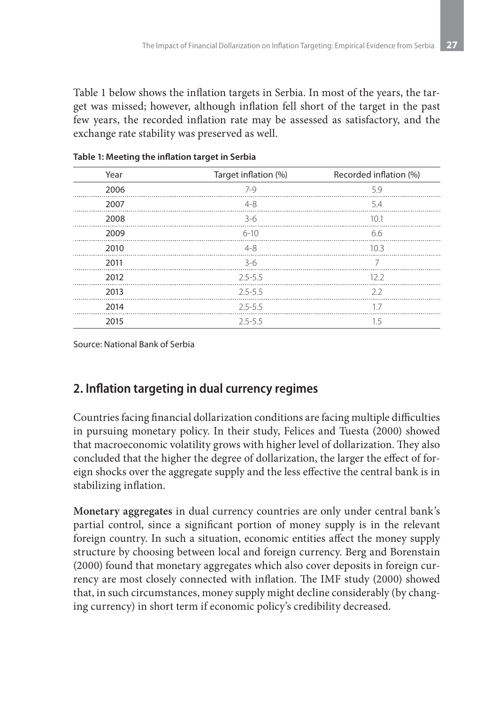Table 1 below shows the inflation targets in Serbia. In most of the years, the target was missed; however, although inflation fell short of the target in the past few years, the recorded inflation rate may be assessed as satisfactory, and the exchange rate stability was preserved as well.

| Year | Target inflation (%) | Recorded inflation (%) |
|------|----------------------|------------------------|
| 2006 | $7-9$                | 5.9                    |
| 2007 | $4 - 8$              | 5.4                    |
| 2008 | $3-6$                | 10.1                   |
| 2009 | $6 - 10$             | 6.6                    |
| 2010 | $4 - 8$              | 10.3                   |
| 2011 | $3-6$                |                        |
| 2012 | $2.5 - 5.5$          | 12.2                   |
| 2013 | $2.5 - 5.5$          | 22                     |
| 2014 | $25-55$              | 17                     |
| 2015 | $2.5 - 5.5$          | 15                     |

#### **Table 1: Meeting the inflation target in Serbia**

Source: National Bank of Serbia

# **2. Inflation targeting in dual currency regimes**

Countries facing financial dollarization conditions are facing multiple difficulties in pursuing monetary policy. In their study, Felices and Tuesta (2000) showed that macroeconomic volatility grows with higher level of dollarization. They also concluded that the higher the degree of dollarization, the larger the effect of foreign shocks over the aggregate supply and the less effective the central bank is in stabilizing inflation.

**Monetary aggregates** in dual currency countries are only under central bank's partial control, since a significant portion of money supply is in the relevant foreign country. In such a situation, economic entities affect the money supply structure by choosing between local and foreign currency. Berg and Borenstain (2000) found that monetary aggregates which also cover deposits in foreign currency are most closely connected with inflation. The IMF study (2000) showed that, in such circumstances, money supply might decline considerably (by changing currency) in short term if economic policy's credibility decreased.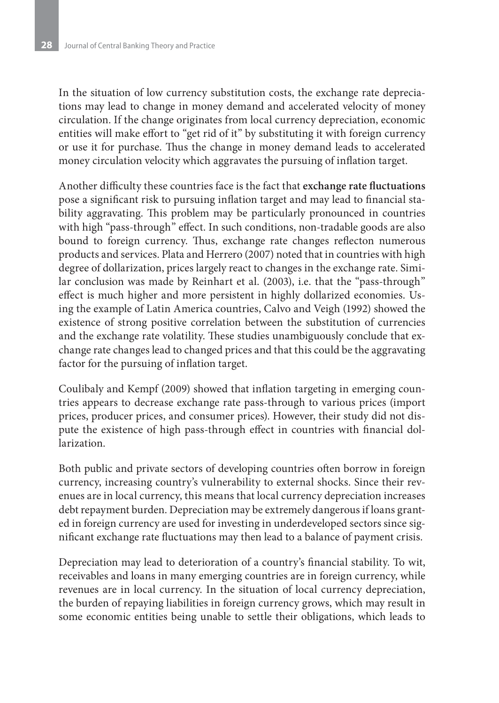In the situation of low currency substitution costs, the exchange rate depreciations may lead to change in money demand and accelerated velocity of money circulation. If the change originates from local currency depreciation, economic entities will make effort to "get rid of it" by substituting it with foreign currency or use it for purchase. Thus the change in money demand leads to accelerated money circulation velocity which aggravates the pursuing of inflation target.

Another difficulty these countries face is the fact that **exchange rate fluctuations**  pose a significant risk to pursuing inflation target and may lead to financial stability aggravating. This problem may be particularly pronounced in countries with high "pass-through" effect. In such conditions, non-tradable goods are also bound to foreign currency. Thus, exchange rate changes reflecton numerous products and services. Plata and Herrero (2007) noted that in countries with high degree of dollarization, prices largely react to changes in the exchange rate. Similar conclusion was made by Reinhart et al. (2003), i.e. that the "pass-through" effect is much higher and more persistent in highly dollarized economies. Using the example of Latin America countries, Calvo and Veigh (1992) showed the existence of strong positive correlation between the substitution of currencies and the exchange rate volatility. These studies unambiguously conclude that exchange rate changes lead to changed prices and that this could be the aggravating factor for the pursuing of inflation target.

Coulibaly and Kempf (2009) showed that inflation targeting in emerging countries appears to decrease exchange rate pass-through to various prices (import prices, producer prices, and consumer prices). However, their study did not dispute the existence of high pass-through effect in countries with financial dollarization.

Both public and private sectors of developing countries often borrow in foreign currency, increasing country's vulnerability to external shocks. Since their revenues are in local currency, this means that local currency depreciation increases debt repayment burden. Depreciation may be extremely dangerous if loans granted in foreign currency are used for investing in underdeveloped sectors since significant exchange rate fluctuations may then lead to a balance of payment crisis.

Depreciation may lead to deterioration of a country's financial stability. To wit, receivables and loans in many emerging countries are in foreign currency, while revenues are in local currency. In the situation of local currency depreciation, the burden of repaying liabilities in foreign currency grows, which may result in some economic entities being unable to settle their obligations, which leads to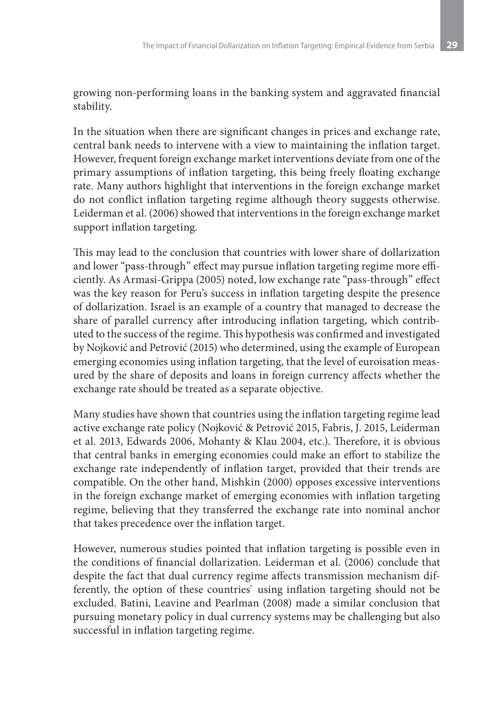growing non-performing loans in the banking system and aggravated financial stability.

In the situation when there are significant changes in prices and exchange rate, central bank needs to intervene with a view to maintaining the inflation target. However, frequent foreign exchange market interventions deviate from one of the primary assumptions of inflation targeting, this being freely floating exchange rate. Many authors highlight that interventions in the foreign exchange market do not conflict inflation targeting regime although theory suggests otherwise. Leiderman et al. (2006) showed that interventions in the foreign exchange market support inflation targeting.

This may lead to the conclusion that countries with lower share of dollarization and lower "pass-through" effect may pursue inflation targeting regime more efficiently. As Armasi-Grippa (2005) noted, low exchange rate "pass-through" effect was the key reason for Peru's success in inflation targeting despite the presence of dollarization. Israel is an example of a country that managed to decrease the share of parallel currency after introducing inflation targeting, which contributed to the success of the regime. This hypothesis was confirmed and investigated by Nojković and Petrović (2015) who determined, using the example of European emerging economies using inflation targeting, that the level of euroisation measured by the share of deposits and loans in foreign currency affects whether the exchange rate should be treated as a separate objective.

Many studies have shown that countries using the inflation targeting regime lead active exchange rate policy (Nojković & Petrović 2015, Fabris, J. 2015, Leiderman et al. 2013, Edwards 2006, Mohanty & Klau 2004, etc.). Therefore, it is obvious that central banks in emerging economies could make an effort to stabilize the exchange rate independently of inflation target, provided that their trends are compatible. On the other hand, Mishkin (2000) opposes excessive interventions in the foreign exchange market of emerging economies with inflation targeting regime, believing that they transferred the exchange rate into nominal anchor that takes precedence over the inflation target.

However, numerous studies pointed that inflation targeting is possible even in the conditions of financial dollarization. Leiderman et al. (2006) conclude that despite the fact that dual currency regime affects transmission mechanism differently, the option of these countries` using inflation targeting should not be excluded. Batini, Leavine and Pearlman (2008) made a similar conclusion that pursuing monetary policy in dual currency systems may be challenging but also successful in inflation targeting regime.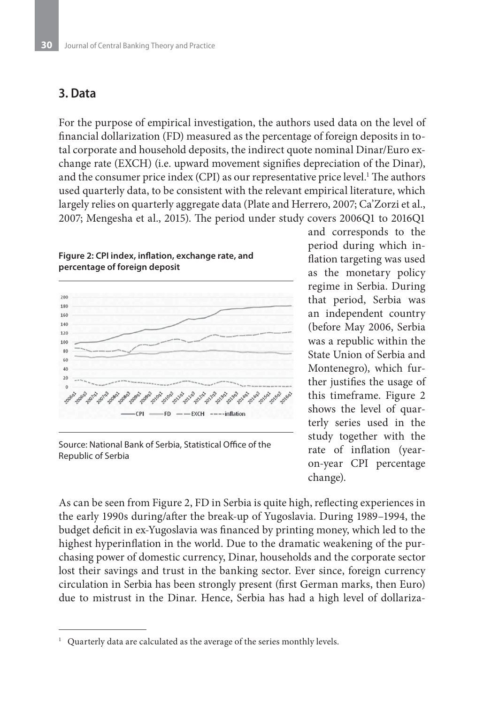### **3. Data**

For the purpose of empirical investigation, the authors used data on the level of financial dollarization (FD) measured as the percentage of foreign deposits in total corporate and household deposits, the indirect quote nominal Dinar/Euro exchange rate (EXCH) (i.e. upward movement signifies depreciation of the Dinar), and the consumer price index (CPI) as our representative price level.<sup>1</sup> The authors used quarterly data, to be consistent with the relevant empirical literature, which largely relies on quarterly aggregate data (Plate and Herrero, 2007; Ca'Zorzi et al., 2007; Mengesha et al., 2015). The period under study covers 2006Q1 to 2016Q1

#### **Figure 2: CPI index, inflation, exchange rate, and percentage of foreign deposit**



Source: National Bank of Serbia, Statistical Office of the Republic of Serbia

and corresponds to the period during which inflation targeting was used as the monetary policy regime in Serbia. During that period, Serbia was an independent country (before May 2006, Serbia was a republic within the State Union of Serbia and Montenegro), which further justifies the usage of this timeframe. Figure 2 shows the level of quarterly series used in the study together with the rate of inflation (yearon-year CPI percentage change).

As can be seen from Figure 2, FD in Serbia is quite high, reflecting experiences in the early 1990s during/after the break-up of Yugoslavia. During 1989–1994, the budget deficit in ex-Yugoslavia was financed by printing money, which led to the highest hyperinflation in the world. Due to the dramatic weakening of the purchasing power of domestic currency, Dinar, households and the corporate sector lost their savings and trust in the banking sector. Ever since, foreign currency circulation in Serbia has been strongly present (first German marks, then Euro) due to mistrust in the Dinar. Hence, Serbia has had a high level of dollariza-

<sup>&</sup>lt;sup>1</sup> Quarterly data are calculated as the average of the series monthly levels.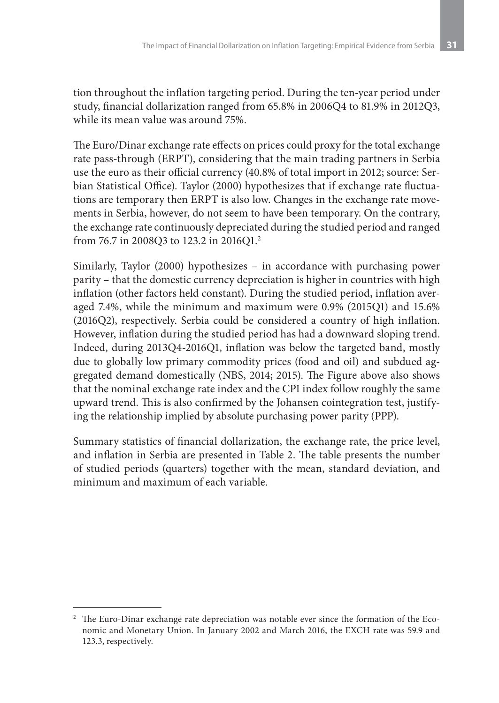tion throughout the inflation targeting period. During the ten-year period under study, financial dollarization ranged from 65.8% in 2006Q4 to 81.9% in 2012Q3, while its mean value was around 75%.

The Euro/Dinar exchange rate effects on prices could proxy for the total exchange rate pass-through (ERPT), considering that the main trading partners in Serbia use the euro as their official currency (40.8% of total import in 2012; source: Serbian Statistical Office). Taylor (2000) hypothesizes that if exchange rate fluctuations are temporary then ERPT is also low. Changes in the exchange rate movements in Serbia, however, do not seem to have been temporary. On the contrary, the exchange rate continuously depreciated during the studied period and ranged from 76.7 in 2008Q3 to 123.2 in 2016Q1.2

Similarly, Taylor (2000) hypothesizes – in accordance with purchasing power parity – that the domestic currency depreciation is higher in countries with high inflation (other factors held constant). During the studied period, inflation averaged 7.4%, while the minimum and maximum were 0.9% (2015Q1) and 15.6% (2016Q2), respectively. Serbia could be considered a country of high inflation. However, inflation during the studied period has had a downward sloping trend. Indeed, during 2013Q4-2016Q1, inflation was below the targeted band, mostly due to globally low primary commodity prices (food and oil) and subdued aggregated demand domestically (NBS, 2014; 2015). The Figure above also shows that the nominal exchange rate index and the CPI index follow roughly the same upward trend. This is also confirmed by the Johansen cointegration test, justifying the relationship implied by absolute purchasing power parity (PPP).

Summary statistics of financial dollarization, the exchange rate, the price level, and inflation in Serbia are presented in Table 2. The table presents the number of studied periods (quarters) together with the mean, standard deviation, and minimum and maximum of each variable.

<sup>&</sup>lt;sup>2</sup> The Euro-Dinar exchange rate depreciation was notable ever since the formation of the Economic and Monetary Union. In January 2002 and March 2016, the EXCH rate was 59.9 and 123.3, respectively.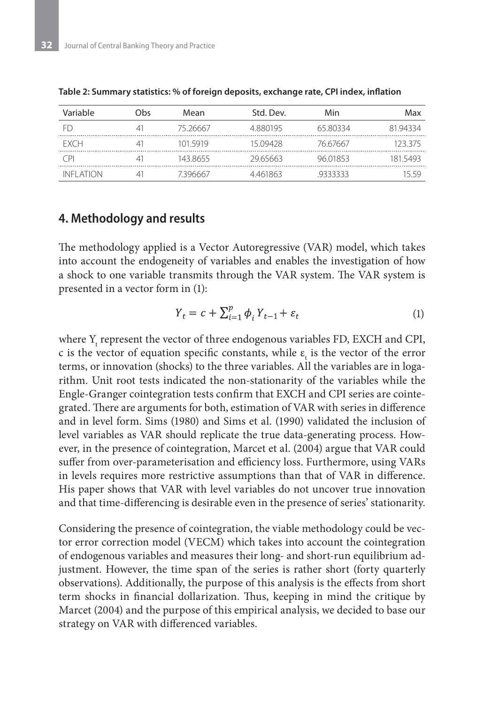| Variable    | Obs | Mean     | Std. Dev. | Min      | Max     |
|-------------|-----|----------|-----------|----------|---------|
|             |     | 75 26667 | 4880195   | 6580334  | 8194334 |
| <b>FXCH</b> |     | 101 5919 | 1509428   | 76.67667 | 123 375 |
| ι μ         |     | 143 8655 | 2965663   | 96 01853 | 1815493 |
| INFI ATION  |     | 7396667  | 4461863   | 9333333  | 559     |

**Table 2: Summary statistics: % of foreign deposits, exchange rate, CPI index, inflation**

### **4. Methodology and results**

The methodology applied is a Vector Autoregressive (VAR) model, which takes into account the endogeneity of variables and enables the investigation of how a shock to one variable transmits through the VAR system. The VAR system is presented in a vector form in (1):

$$
Y_t = c + \sum_{i=1}^p \phi_i Y_{t-1} + \varepsilon_t \tag{1}
$$

where  $\mathbf{Y}_{\mathrm{t}}$  represent the vector of three endogenous variables FD, EXCH and CPI, c is the vector of equation specific constants, while  $\varepsilon_t$  is the vector of the error terms, or innovation (shocks) to the three variables. All the variables are in logarithm. Unit root tests indicated the non-stationarity of the variables while the Engle-Granger cointegration tests confirm that EXCH and CPI series are cointegrated. There are arguments for both, estimation of VAR with series in difference and in level form. Sims (1980) and Sims et al. (1990) validated the inclusion of level variables as VAR should replicate the true data-generating process. However, in the presence of cointegration, Marcet et al. (2004) argue that VAR could suffer from over-parameterisation and efficiency loss. Furthermore, using VARs in levels requires more restrictive assumptions than that of VAR in difference. His paper shows that VAR with level variables do not uncover true innovation and that time-differencing is desirable even in the presence of series' stationarity.

Considering the presence of cointegration, the viable methodology could be vector error correction model (VECM) which takes into account the cointegration of endogenous variables and measures their long- and short-run equilibrium adjustment. However, the time span of the series is rather short (forty quarterly observations). Additionally, the purpose of this analysis is the effects from short term shocks in financial dollarization. Thus, keeping in mind the critique by Marcet (2004) and the purpose of this empirical analysis, we decided to base our strategy on VAR with differenced variables.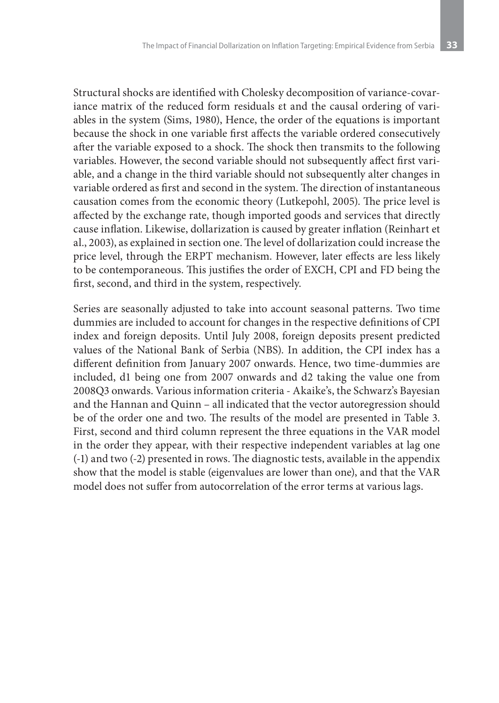Structural shocks are identified with Cholesky decomposition of variance-covariance matrix of the reduced form residuals εt and the causal ordering of variables in the system (Sims, 1980), Hence, the order of the equations is important because the shock in one variable first affects the variable ordered consecutively after the variable exposed to a shock. The shock then transmits to the following variables. However, the second variable should not subsequently affect first variable, and a change in the third variable should not subsequently alter changes in variable ordered as first and second in the system. The direction of instantaneous causation comes from the economic theory (Lutkepohl, 2005). The price level is affected by the exchange rate, though imported goods and services that directly cause inflation. Likewise, dollarization is caused by greater inflation (Reinhart et al., 2003), as explained in section one. The level of dollarization could increase the price level, through the ERPT mechanism. However, later effects are less likely to be contemporaneous. This justifies the order of EXCH, CPI and FD being the first, second, and third in the system, respectively.

Series are seasonally adjusted to take into account seasonal patterns. Two time dummies are included to account for changes in the respective definitions of CPI index and foreign deposits. Until July 2008, foreign deposits present predicted values of the National Bank of Serbia (NBS). In addition, the CPI index has a different definition from January 2007 onwards. Hence, two time-dummies are included, d1 being one from 2007 onwards and d2 taking the value one from 2008Q3 onwards. Various information criteria - Akaike's, the Schwarz's Bayesian and the Hannan and Quinn – all indicated that the vector autoregression should be of the order one and two. The results of the model are presented in Table 3. First, second and third column represent the three equations in the VAR model in the order they appear, with their respective independent variables at lag one (-1) and two (-2) presented in rows. The diagnostic tests, available in the appendix show that the model is stable (eigenvalues are lower than one), and that the VAR model does not suffer from autocorrelation of the error terms at various lags.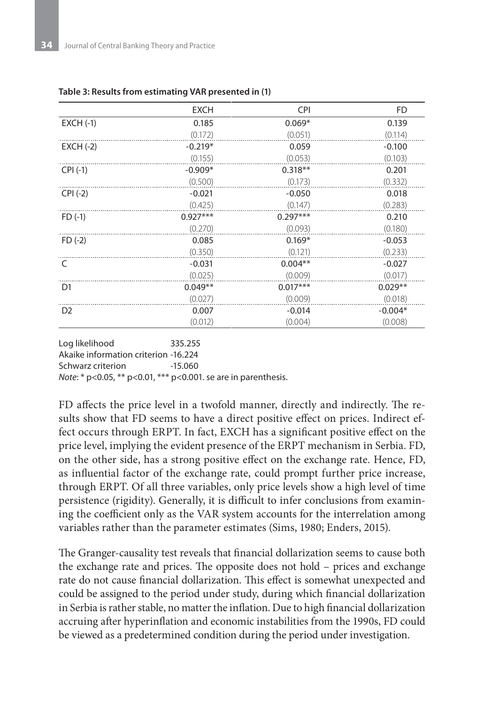|                | <b>EXCH</b> | <b>CPI</b> | <b>FD</b> |
|----------------|-------------|------------|-----------|
| $EXCH(-1)$     | 0.185       | $0.069*$   | 0.139     |
|                | (0.172)     | (0.051)    | (0.114)   |
| $EXCH (-2)$    | $-0.219*$   | 0.059      | $-0.100$  |
|                | (0.155)     | (0.053)    | (0.103)   |
| $CPI(-1)$      | $-0.909*$   | $0.318**$  | 0.201     |
|                | (0.500)     | (0.173)    | (0.332)   |
| $CPI(-2)$      | $-0.021$    | $-0.050$   | 0.018     |
|                | (0.425)     | (0.147)    | (0.283)   |
| $FD(-1)$       | $0.927***$  | $0.297***$ | 0.210     |
|                | (0.270)     | (0.093)    | (0.180)   |
| $FD(-2)$       | 0.085       | $0.169*$   | $-0.053$  |
|                | (0.350)     | (0.121)    | (0.233)   |
| $\subset$      | $-0.031$    | $0.004**$  | $-0.027$  |
|                | (0.025)     | (0.009)    | (0.017)   |
| D1             | $0.049**$   | $0.017***$ | $0.029**$ |
|                | (0.027)     | (0.009)    | (0.018)   |
| D <sub>2</sub> | 0.007       | $-0.014$   | $-0.004*$ |
|                | (0.012)     | (0.004)    | (0.008)   |

#### **Table 3: Results from estimating VAR presented in (1)**

Log likelihood 335.255 Akaike information criterion -16.224 Schwarz criterion -15.060 *Note*: \* p<0.05, \*\* p<0.01, \*\*\* p<0.001. se are in parenthesis.

FD affects the price level in a twofold manner, directly and indirectly. The results show that FD seems to have a direct positive effect on prices. Indirect effect occurs through ERPT. In fact, EXCH has a significant positive effect on the price level, implying the evident presence of the ERPT mechanism in Serbia. FD, on the other side, has a strong positive effect on the exchange rate. Hence, FD, as influential factor of the exchange rate, could prompt further price increase, through ERPT. Of all three variables, only price levels show a high level of time persistence (rigidity). Generally, it is difficult to infer conclusions from examining the coefficient only as the VAR system accounts for the interrelation among variables rather than the parameter estimates (Sims, 1980; Enders, 2015).

The Granger-causality test reveals that financial dollarization seems to cause both the exchange rate and prices. The opposite does not hold – prices and exchange rate do not cause financial dollarization. This effect is somewhat unexpected and could be assigned to the period under study, during which financial dollarization in Serbia is rather stable, no matter the inflation. Due to high financial dollarization accruing after hyperinflation and economic instabilities from the 1990s, FD could be viewed as a predetermined condition during the period under investigation.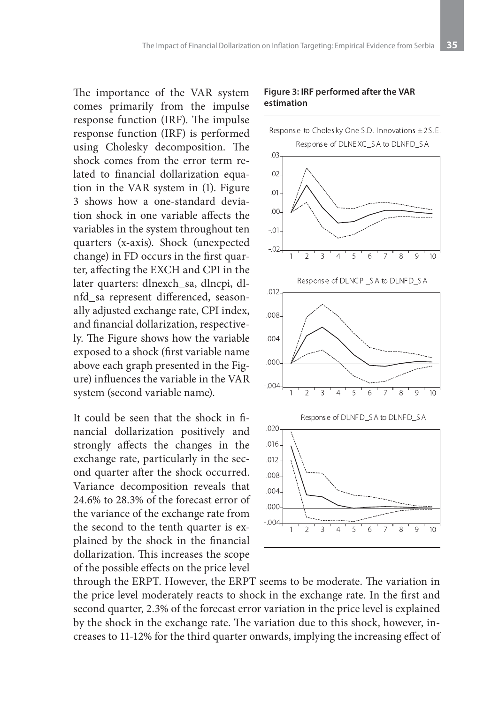The importance of the VAR system comes primarily from the impulse response function (IRF). The impulse response function (IRF) is performed using Cholesky decomposition. The shock comes from the error term related to financial dollarization equation in the VAR system in (1). Figure 3 shows how a one-standard deviation shock in one variable affects the variables in the system throughout ten quarters (x-axis). Shock (unexpected change) in FD occurs in the first quarter, affecting the EXCH and CPI in the later quarters: dlnexch\_sa, dlncpi, dlnfd\_sa represent differenced, seasonally adjusted exchange rate, CPI index, and financial dollarization, respectively. The Figure shows how the variable exposed to a shock (first variable name above each graph presented in the Figure) influences the variable in the VAR system (second variable name).

It could be seen that the shock in financial dollarization positively and strongly affects the changes in the exchange rate, particularly in the second quarter after the shock occurred. Variance decomposition reveals that 24.6% to 28.3% of the forecast error of the variance of the exchange rate from the second to the tenth quarter is explained by the shock in the financial dollarization. This increases the scope of the possible effects on the price level

#### **Figure 3: IRF performed after the VAR estimation**

Response to Cholesky One S.D. Innovations ±2S.E. Response of DLNEXC\_SA to DLNFD\_SA  $.03$  $.02$  $.01$  $\Omega$ C  $-0.01$  $-02$  $\alpha$ Response of DLNCPI SA to DLNFD SA  $.012$  $008$  $.004.$  $.000$  $-004$  $\beta$ Q Response of DLNFD\_SA to DLNFD\_SA .020 .016  $.012.$ .008  $.004$  $000$  $\overline{z}$  $\overline{5}$ 6 8  $\overline{9}$  $10$ 

through the ERPT. However, the ERPT seems to be moderate. The variation in the price level moderately reacts to shock in the exchange rate. In the first and second quarter, 2.3% of the forecast error variation in the price level is explained by the shock in the exchange rate. The variation due to this shock, however, increases to 11-12% for the third quarter onwards, implying the increasing effect of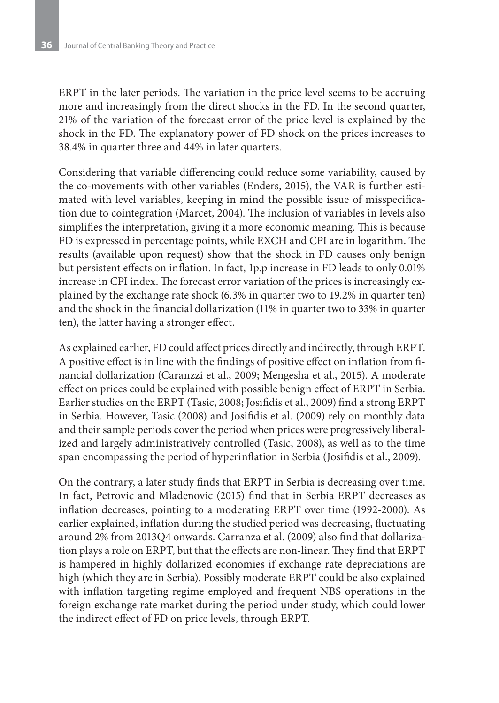ERPT in the later periods. The variation in the price level seems to be accruing more and increasingly from the direct shocks in the FD. In the second quarter, 21% of the variation of the forecast error of the price level is explained by the shock in the FD. The explanatory power of FD shock on the prices increases to 38.4% in quarter three and 44% in later quarters.

Considering that variable differencing could reduce some variability, caused by the co-movements with other variables (Enders, 2015), the VAR is further estimated with level variables, keeping in mind the possible issue of misspecification due to cointegration (Marcet, 2004). The inclusion of variables in levels also simplifies the interpretation, giving it a more economic meaning. This is because FD is expressed in percentage points, while EXCH and CPI are in logarithm. The results (available upon request) show that the shock in FD causes only benign but persistent effects on inflation. In fact, 1p.p increase in FD leads to only 0.01% increase in CPI index. The forecast error variation of the prices is increasingly explained by the exchange rate shock (6.3% in quarter two to 19.2% in quarter ten) and the shock in the financial dollarization (11% in quarter two to 33% in quarter ten), the latter having a stronger effect.

As explained earlier, FD could affect prices directly and indirectly, through ERPT. A positive effect is in line with the findings of positive effect on inflation from financial dollarization (Caranzzi et al., 2009; Mengesha et al., 2015). A moderate effect on prices could be explained with possible benign effect of ERPT in Serbia. Earlier studies on the ERPT (Tasic, 2008; Josifidis et al., 2009) find a strong ERPT in Serbia. However, Tasic (2008) and Josifidis et al. (2009) rely on monthly data and their sample periods cover the period when prices were progressively liberalized and largely administratively controlled (Tasic, 2008), as well as to the time span encompassing the period of hyperinflation in Serbia (Josifidis et al., 2009).

On the contrary, a later study finds that ERPT in Serbia is decreasing over time. In fact, Petrovic and Mladenovic (2015) find that in Serbia ERPT decreases as inflation decreases, pointing to a moderating ERPT over time (1992-2000). As earlier explained, inflation during the studied period was decreasing, fluctuating around 2% from 2013Q4 onwards. Carranza et al. (2009) also find that dollarization plays a role on ERPT, but that the effects are non-linear. They find that ERPT is hampered in highly dollarized economies if exchange rate depreciations are high (which they are in Serbia). Possibly moderate ERPT could be also explained with inflation targeting regime employed and frequent NBS operations in the foreign exchange rate market during the period under study, which could lower the indirect effect of FD on price levels, through ERPT.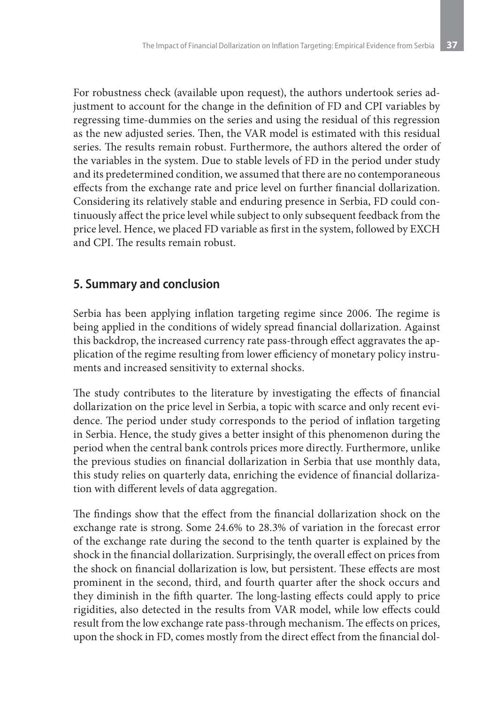For robustness check (available upon request), the authors undertook series adjustment to account for the change in the definition of FD and CPI variables by regressing time-dummies on the series and using the residual of this regression as the new adjusted series. Then, the VAR model is estimated with this residual series. The results remain robust. Furthermore, the authors altered the order of the variables in the system. Due to stable levels of FD in the period under study and its predetermined condition, we assumed that there are no contemporaneous effects from the exchange rate and price level on further financial dollarization. Considering its relatively stable and enduring presence in Serbia, FD could continuously affect the price level while subject to only subsequent feedback from the price level. Hence, we placed FD variable as first in the system, followed by EXCH and CPI. The results remain robust.

### **5. Summary and conclusion**

Serbia has been applying inflation targeting regime since 2006. The regime is being applied in the conditions of widely spread financial dollarization. Against this backdrop, the increased currency rate pass-through effect aggravates the application of the regime resulting from lower efficiency of monetary policy instruments and increased sensitivity to external shocks.

The study contributes to the literature by investigating the effects of financial dollarization on the price level in Serbia, a topic with scarce and only recent evidence. The period under study corresponds to the period of inflation targeting in Serbia. Hence, the study gives a better insight of this phenomenon during the period when the central bank controls prices more directly. Furthermore, unlike the previous studies on financial dollarization in Serbia that use monthly data, this study relies on quarterly data, enriching the evidence of financial dollarization with different levels of data aggregation.

The findings show that the effect from the financial dollarization shock on the exchange rate is strong. Some 24.6% to 28.3% of variation in the forecast error of the exchange rate during the second to the tenth quarter is explained by the shock in the financial dollarization. Surprisingly, the overall effect on prices from the shock on financial dollarization is low, but persistent. These effects are most prominent in the second, third, and fourth quarter after the shock occurs and they diminish in the fifth quarter. The long-lasting effects could apply to price rigidities, also detected in the results from VAR model, while low effects could result from the low exchange rate pass-through mechanism. The effects on prices, upon the shock in FD, comes mostly from the direct effect from the financial dol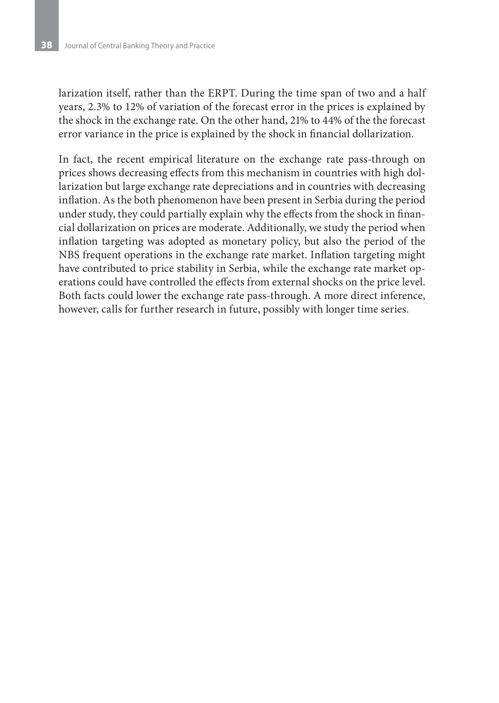larization itself, rather than the ERPT. During the time span of two and a half years, 2.3% to 12% of variation of the forecast error in the prices is explained by the shock in the exchange rate. On the other hand, 21% to 44% of the the forecast error variance in the price is explained by the shock in financial dollarization.

In fact, the recent empirical literature on the exchange rate pass-through on prices shows decreasing effects from this mechanism in countries with high dollarization but large exchange rate depreciations and in countries with decreasing inflation. As the both phenomenon have been present in Serbia during the period under study, they could partially explain why the effects from the shock in financial dollarization on prices are moderate. Additionally, we study the period when inflation targeting was adopted as monetary policy, but also the period of the NBS frequent operations in the exchange rate market. Inflation targeting might have contributed to price stability in Serbia, while the exchange rate market operations could have controlled the effects from external shocks on the price level. Both facts could lower the exchange rate pass-through. A more direct inference, however, calls for further research in future, possibly with longer time series.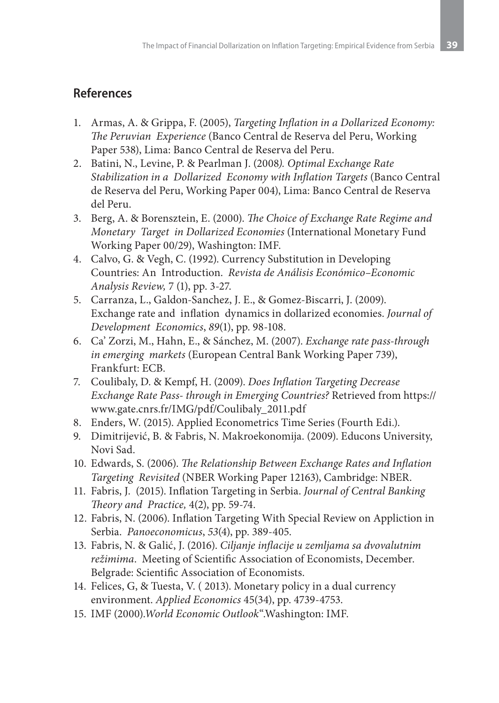## **References**

- 1. Armas, A. & Grippa, F. (2005), *Targeting Inflation in a Dollarized Economy: The Peruvian Experience* (Banco Central de Reserva del Peru, Working Paper 538), Lima: Banco Central de Reserva del Peru.
- 2. Batini, N., Levine, P. & Pearlman J. (2008*). Optimal Exchange Rate Stabilization in a Dollarized Economy with Inflation Targets* (Banco Central de Reserva del Peru, Working Paper 004), Lima: Banco Central de Reserva del Peru.
- 3. Berg, A. & Borensztein, E. (2000). *The Choice of Exchange Rate Regime and Monetary Target in Dollarized Economies* (International Monetary Fund Working Paper 00/29), Washington: IMF.
- 4. Calvo, G. & Vegh, C. (1992). Currency Substitution in Developing Countries: An Introduction. *Revista de Análisis Económico–Economic Analysis Review,* 7 (1), pp. 3-27.
- 5. Carranza, L., Galdon-Sanchez, J. E., & Gomez-Biscarri, J. (2009). Exchange rate and inflation dynamics in dollarized economies. *Journal of Development Economics*, *89*(1), pp. 98-108.
- 6. Ca' Zorzi, M., Hahn, E., & Sánchez, M. (2007). *Exchange rate pass-through in emerging markets* (European Central Bank Working Paper 739), Frankfurt: ECB.
- 7. Coulibaly, D. & Kempf, H. (2009). *Does Inflation Targeting Decrease Exchange Rate Pass- through in Emerging Countries?* Retrieved from https:// www.gate.cnrs.fr/IMG/pdf/Coulibaly\_2011.pdf
- 8. Enders, W. (2015). Applied Econometrics Time Series (Fourth Edi.).
- 9. Dimitrijević, B. & Fabris, N. Makroekonomija. (2009). Educons University, Novi Sad.
- 10. Edwards, S. (2006). *The Relationship Between Exchange Rates and Inflation Targeting Revisited* (NBER Working Paper 12163), Cambridge: NBER.
- 11. Fabris, J. (2015). Inflation Targeting in Serbia. *Journal of Central Banking Theory and Practice,* 4(2), pp. 59-74.
- 12. Fabris, N. (2006). Inflation Targeting With Special Review on Appliction in Serbia. *Panoeconomicus*, *53*(4), pp. 389-405.
- 13. Fabris, N. & Galić, J. (2016). *Ciljanje inflacije u zemljama sa dvovalutnim režimima*. Meeting of Scientific Association of Economists, December. Belgrade: Scientific Association of Economists.
- 14. Felices, G, & Tuesta, V. ( 2013). Monetary policy in a dual currency environment. *Applied Economics* 45(34), pp. 4739-4753.
- 15. IMF (2000).*World Economic Outlook*".Washington: IMF.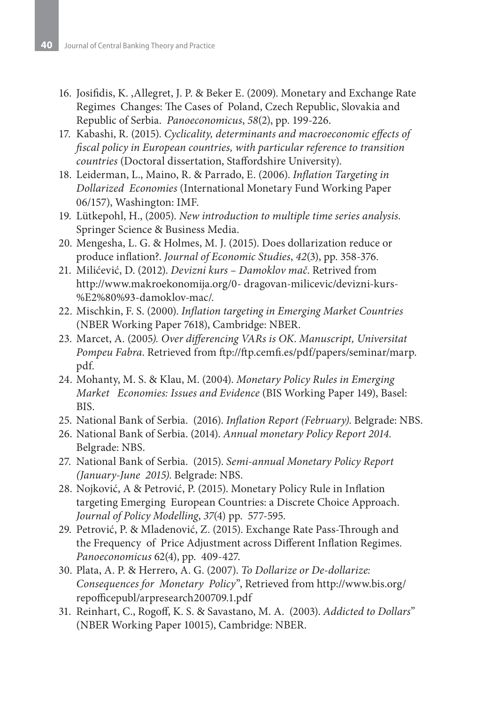- 16. Josifidis, K. ,Allegret, J. P. & Beker E. (2009). Monetary and Exchange Rate Regimes Changes: The Cases of Poland, Czech Republic, Slovakia and Republic of Serbia. *Panoeconomicus*, *58*(2), pp. 199-226.
- 17. Kabashi, R. (2015). *Cyclicality, determinants and macroeconomic effects of fiscal policy in European countries, with particular reference to transition countries* (Doctoral dissertation, Staffordshire University).
- 18. Leiderman, L., Maino, R. & Parrado, E. (2006). *Inflation Targeting in Dollarized Economies* (International Monetary Fund Working Paper 06/157), Washington: IMF.
- 19. Lütkepohl, H., (2005). *New introduction to multiple time series analysis*. Springer Science & Business Media.
- 20. Mengesha, L. G. & Holmes, M. J. (2015). Does dollarization reduce or produce inflation?. *Journal of Economic Studies*, *42*(3), pp. 358-376.
- 21. Milićević, D. (2012). *Devizni kurs Damoklov mač*. Retrived from http://www.makroekonomija.org/0- dragovan-milicevic/devizni-kurs- %E2%80%93-damoklov-mac/.
- 22. Mischkin, F. S. (2000). *Inflation targeting in Emerging Market Countries* (NBER Working Paper 7618), Cambridge: NBER.
- 23. Marcet, A. (2005*). Over differencing VARs is OK*. *Manuscript, Universitat Pompeu Fabra*. Retrieved from ftp://ftp.cemfi.es/pdf/papers/seminar/marp. pdf.
- 24. Mohanty, M. S. & Klau, M. (2004). *Monetary Policy Rules in Emerging Market Economies: Issues and Evidence* (BIS Working Paper 149), Basel: BIS.
- 25. National Bank of Serbia. (2016). *Inflation Report (February)*. Belgrade: NBS.
- 26. National Bank of Serbia. (2014). *Annual monetary Policy Report 2014.* Belgrade: NBS.
- 27. National Bank of Serbia. (2015). *Semi-annual Monetary Policy Report (January-June 2015)*. Belgrade: NBS.
- 28. Nojković, A & Petrović, P. (2015). Monetary Policy Rule in Inflation targeting Emerging European Countries: a Discrete Choice Approach. *Journal of Policy Modelling*, *37*(4) pp. 577-595.
- 29. Petrović, P. & Mladenović, Z. (2015). Exchange Rate Pass-Through and the Frequency of Price Adjustment across Different Inflation Regimes. *Panoeconomicus* 62(4), pp. 409-427.
- 30. Plata, A. P. & Herrero, A. G. (2007). *To Dollarize or De-dollarize: Consequences for Monetary Policy*", Retrieved from http://www.bis.org/ repofficepubl/arpresearch200709.1.pdf
- 31. Reinhart, C., Rogoff, K. S. & Savastano, M. A. (2003). *Addicted to Dollars*" (NBER Working Paper 10015), Cambridge: NBER.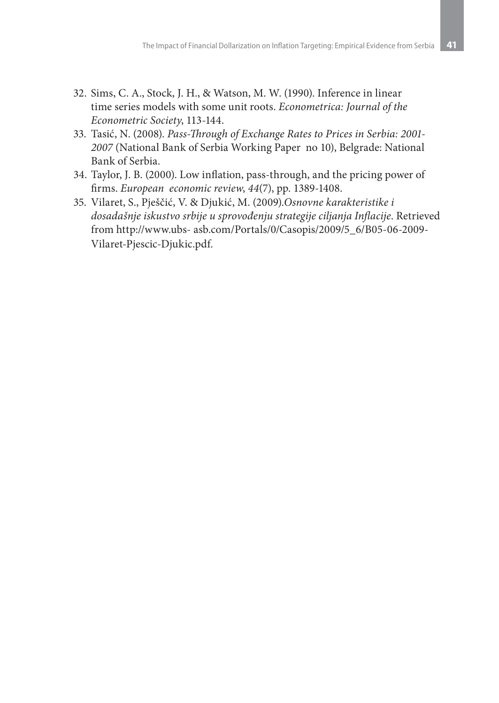- 32. Sims, C. A., Stock, J. H., & Watson, M. W. (1990). Inference in linear time series models with some unit roots. *Econometrica: Journal of the Econometric Society*, 113-144.
- 33. Tasić, N. (2008). *Pass-Through of Exchange Rates to Prices in Serbia: 2001- 2007* (National Bank of Serbia Working Paper no 10), Belgrade: National Bank of Serbia.
- 34. Taylor, J. B. (2000). Low inflation, pass-through, and the pricing power of firms. *European economic review*, *44*(7), pp. 1389-1408.
- 35. Vilaret, S., Pješčić, V. & Djukić, M. (2009)*.Osnovne karakteristike i dosadašnje iskustvo srbije u sprovođenju strategije ciljanja Inflacije*. Retrieved from http://www.ubs- asb.com/Portals/0/Casopis/2009/5\_6/B05-06-2009- Vilaret-Pjescic-Djukic.pdf.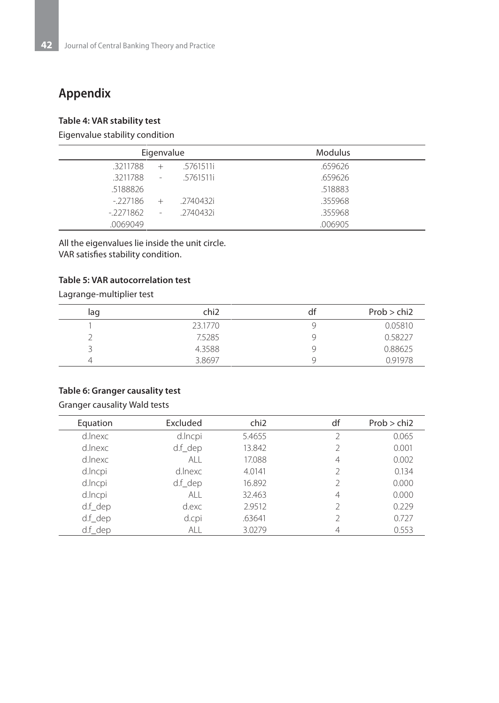# **Appendix**

### **Table 4: VAR stability test**

### Eigenvalue stability condition

| Eigenvalue  |            |           | <b>Modulus</b> |
|-------------|------------|-----------|----------------|
| .3211788    | $+$        | .5761511i | .659626        |
| .3211788    | $\sim 100$ | .5761511i | .659626        |
| .5188826    |            |           | .518883        |
| -.227186    | $+$        | .2740432i | 355968         |
| - 2271862 - |            | .2740432i | .355968        |
| .0069049    |            |           | .006905        |

All the eigenvalues lie inside the unit circle. VAR satisfies stability condition.

### **Table 5: VAR autocorrelation test**

Lagrange-multiplier test

| lag | chi <sub>2</sub> | df | Prob > chi2 |
|-----|------------------|----|-------------|
|     | 23.1770          |    | 0.05810     |
|     | 7.5285           |    | 0.58227     |
|     | 4.3588           |    | 0.88625     |
|     | 3.8697           |    | 0.91978     |

### **Table 6: Granger causality test**

#### Granger causality Wald tests

| Equation | Excluded      | chi <sub>2</sub> | df            | Prob > chi2 |
|----------|---------------|------------------|---------------|-------------|
| d.lnexc  | d.lncpi       | 5.4655           | $\mathcal{P}$ | 0.065       |
| d.lnexc  | d.f_dep       | 13.842           | $\mathcal{P}$ | 0.001       |
| d.lnexc  | $AI$ $\vdash$ | 17.088           | 4             | 0.002       |
| d.Incpi  | d.lnexc       | 4.0141           | $\mathcal{P}$ | 0.134       |
| d.Incpi  | d.f_dep       | 16.892           | $\mathcal{P}$ | 0.000       |
| d.Incpi  | Al I          | 32.463           | 4             | 0.000       |
| d.f_dep  | d.exc         | 2.9512           | $\mathcal{P}$ | 0.229       |
| d.f_dep  | d.cpi         | .63641           | $\mathcal{P}$ | 0.727       |
| d.f_dep  | Al I          | 3.0279           | 4             | 0.553       |